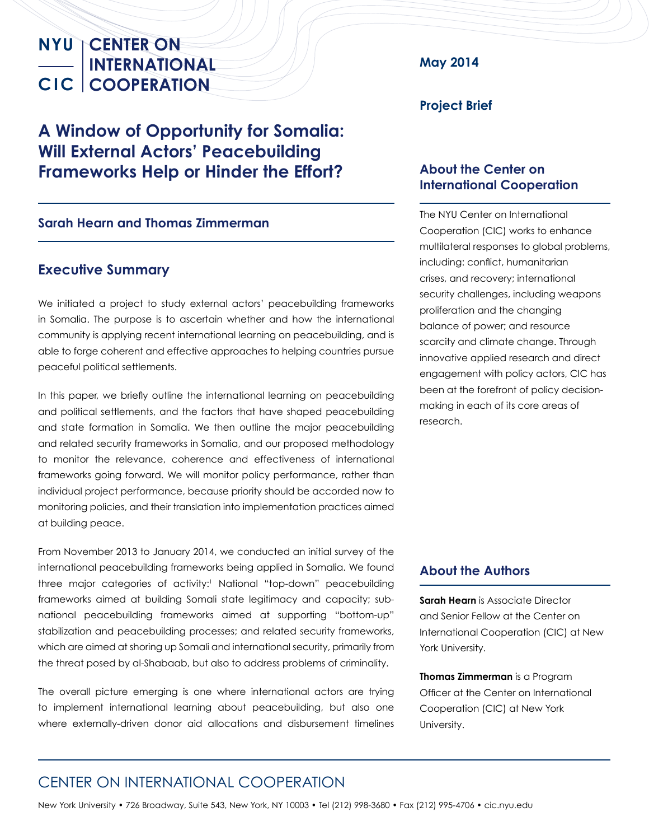## **A Window of Opportunity for Somalia: Will External Actors' Peacebuilding Frameworks Help or Hinder the Effort?**

#### **Sarah Hearn and Thomas Zimmerman**

#### **Executive Summary**

We initiated a project to study external actors' peacebuilding frameworks in Somalia. The purpose is to ascertain whether and how the international community is applying recent international learning on peacebuilding, and is able to forge coherent and effective approaches to helping countries pursue peaceful political settlements.

In this paper, we briefly outline the international learning on peacebuilding and political settlements, and the factors that have shaped peacebuilding and state formation in Somalia. We then outline the major peacebuilding and related security frameworks in Somalia, and our proposed methodology to monitor the relevance, coherence and effectiveness of international frameworks going forward. We will monitor policy performance, rather than individual project performance, because priority should be accorded now to monitoring policies, and their translation into implementation practices aimed at building peace.

From November 2013 to January 2014, we conducted an initial survey of the international peacebuilding frameworks being applied in Somalia. We found three major categories of activity:<sup>1</sup> National "top-down" peacebuilding frameworks aimed at building Somali state legitimacy and capacity; subnational peacebuilding frameworks aimed at supporting "bottom-up" stabilization and peacebuilding processes; and related security frameworks, which are aimed at shoring up Somali and international security, primarily from the threat posed by al-Shabaab, but also to address problems of criminality.

The overall picture emerging is one where international actors are trying to implement international learning about peacebuilding, but also one where externally-driven donor aid allocations and disbursement timelines **May 2014**

#### **Project Brief**

#### **About the Center on International Cooperation**

The NYU Center on International Cooperation (CIC) works to enhance multilateral responses to global problems, including: conflict, humanitarian crises, and recovery; international security challenges, including weapons proliferation and the changing balance of power; and resource scarcity and climate change. Through innovative applied research and direct engagement with policy actors, CIC has been at the forefront of policy decisionmaking in each of its core areas of research.

#### **About the Authors**

**Sarah Hearn** is Associate Director and Senior Fellow at the Center on International Cooperation (CIC) at New York University.

**Thomas Zimmerman** is a Program Officer at the Center on International Cooperation (CIC) at New York University.

### CENTER ON INTERNATIONAL COOPERATION

New York University • 726 Broadway, Suite 543, New York, NY 10003 • Tel (212) 998-3680 • Fax (212) 995-4706 • cic.nyu.edu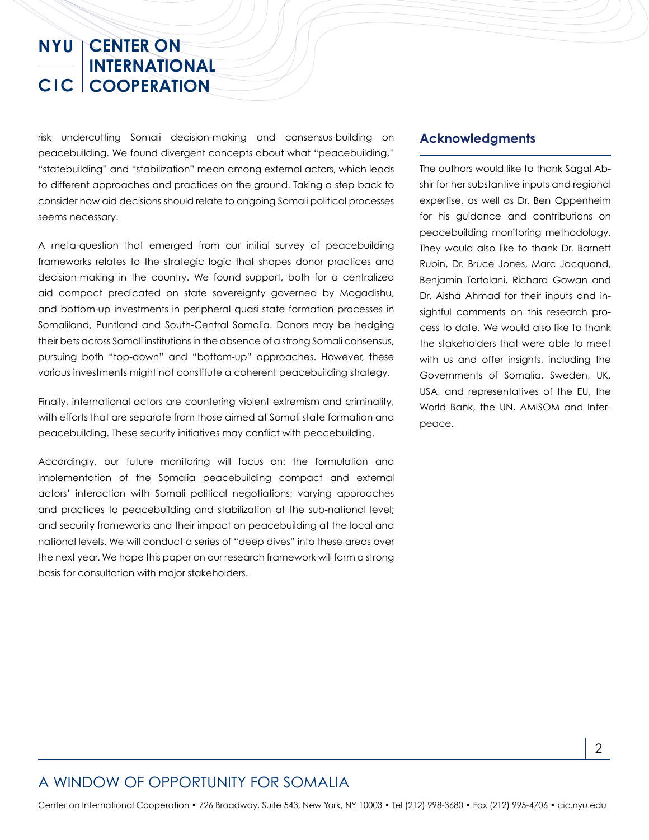risk undercutting Somali decision-making and consensus-building on peacebuilding. We found divergent concepts about what "peacebuilding," "statebuilding" and "stabilization" mean among external actors, which leads to different approaches and practices on the ground. Taking a step back to consider how aid decisions should relate to ongoing Somali political processes seems necessary.

A meta-question that emerged from our initial survey of peacebuilding frameworks relates to the strategic logic that shapes donor practices and decision-making in the country. We found support, both for a centralized aid compact predicated on state sovereignty governed by Mogadishu, and bottom-up investments in peripheral quasi-state formation processes in Somaliland, Puntland and South-Central Somalia. Donors may be hedging their bets across Somali institutions in the absence of a strong Somali consensus, pursuing both "top-down" and "bottom-up" approaches. However, these various investments might not constitute a coherent peacebuilding strategy.

Finally, international actors are countering violent extremism and criminality, with efforts that are separate from those aimed at Somali state formation and peacebuilding. These security initiatives may conflict with peacebuilding.

Accordingly, our future monitoring will focus on: the formulation and implementation of the Somalia peacebuilding compact and external actors' interaction with Somali political negotiations; varying approaches and practices to peacebuilding and stabilization at the sub-national level; and security frameworks and their impact on peacebuilding at the local and national levels. We will conduct a series of "deep dives" into these areas over the next year. We hope this paper on our research framework will form a strong basis for consultation with major stakeholders.

#### **Acknowledgments**

The authors would like to thank Sagal Abshir for her substantive inputs and regional expertise, as well as Dr. Ben Oppenheim for his guidance and contributions on peacebuilding monitoring methodology. They would also like to thank Dr. Barnett Rubin, Dr. Bruce Jones, Marc Jacquand, Benjamin Tortolani, Richard Gowan and Dr. Aisha Ahmad for their inputs and insightful comments on this research process to date. We would also like to thank the stakeholders that were able to meet with us and offer insights, including the Governments of Somalia, Sweden, UK, USA, and representatives of the EU, the World Bank, the UN, AMISOM and Interpeace.

#### A WINDOW OF OPPORTUNITY FOR SOMALIA

Center on International Cooperation • 726 Broadway, Suite 543, New York, NY 10003 • Tel (212) 998-3680 • Fax (212) 995-4706 • cic.nyu.edu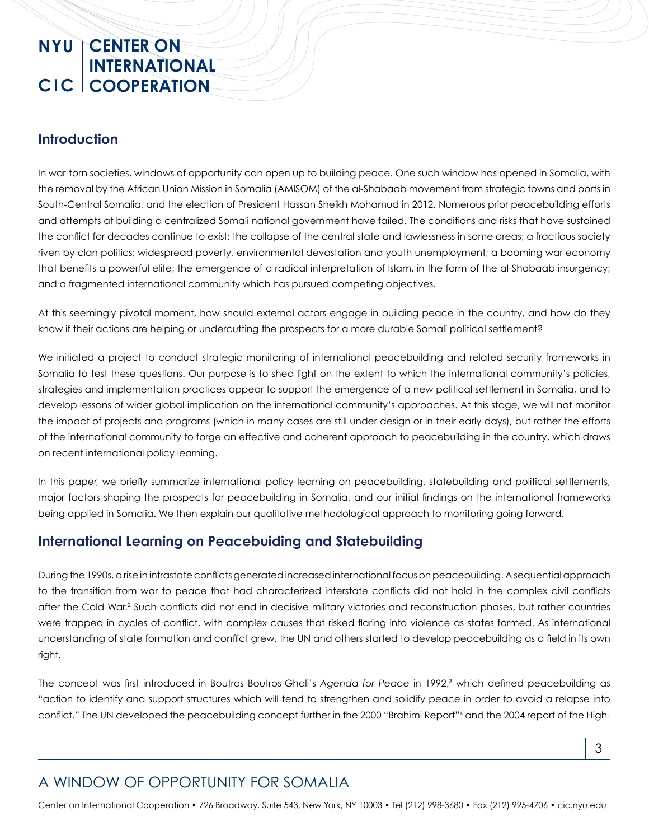#### **Introduction**

In war-torn societies, windows of opportunity can open up to building peace. One such window has opened in Somalia, with the removal by the African Union Mission in Somalia (AMISOM) of the al-Shabaab movement from strategic towns and ports in South-Central Somalia, and the election of President Hassan Sheikh Mohamud in 2012. Numerous prior peacebuilding efforts and attempts at building a centralized Somali national government have failed. The conditions and risks that have sustained the conflict for decades continue to exist: the collapse of the central state and lawlessness in some areas; a fractious society riven by clan politics; widespread poverty, environmental devastation and youth unemployment; a booming war economy that benefits a powerful elite; the emergence of a radical interpretation of Islam, in the form of the al-Shabaab insurgency; and a fragmented international community which has pursued competing objectives.

At this seemingly pivotal moment, how should external actors engage in building peace in the country, and how do they know if their actions are helping or undercutting the prospects for a more durable Somali political settlement?

We initiated a project to conduct strategic monitoring of international peacebuilding and related security frameworks in Somalia to test these questions. Our purpose is to shed light on the extent to which the international community's policies, strategies and implementation practices appear to support the emergence of a new political settlement in Somalia, and to develop lessons of wider global implication on the international community's approaches. At this stage, we will not monitor the impact of projects and programs (which in many cases are still under design or in their early days), but rather the efforts of the international community to forge an effective and coherent approach to peacebuilding in the country, which draws on recent international policy learning.

In this paper, we briefly summarize international policy learning on peacebuilding, statebuilding and political settlements, major factors shaping the prospects for peacebuilding in Somalia, and our initial findings on the international frameworks being applied in Somalia. We then explain our qualitative methodological approach to monitoring going forward.

#### **International Learning on Peacebuiding and Statebuilding**

During the 1990s, a rise in intrastate conflicts generated increased international focus on peacebuilding. A sequential approach to the transition from war to peace that had characterized interstate conflicts did not hold in the complex civil conflicts after the Cold War.<sup>2</sup> Such conflicts did not end in decisive military victories and reconstruction phases, but rather countries were trapped in cycles of conflict, with complex causes that risked flaring into violence as states formed. As international understanding of state formation and conflict grew, the UN and others started to develop peacebuilding as a field in its own right.

The concept was first introduced in Boutros Boutros-Ghali's Agenda for Peace in 1992,<sup>3</sup> which defined peacebuilding as "action to identify and support structures which will tend to strengthen and solidify peace in order to avoid a relapse into conflict." The UN developed the peacebuilding concept further in the 2000 "Brahimi Report"4 and the 2004 report of the High-

## A WINDOW OF OPPORTUNITY FOR SOMALIA

Center on International Cooperation • 726 Broadway, Suite 543, New York, NY 10003 • Tel (212) 998-3680 • Fax (212) 995-4706 • cic.nyu.edu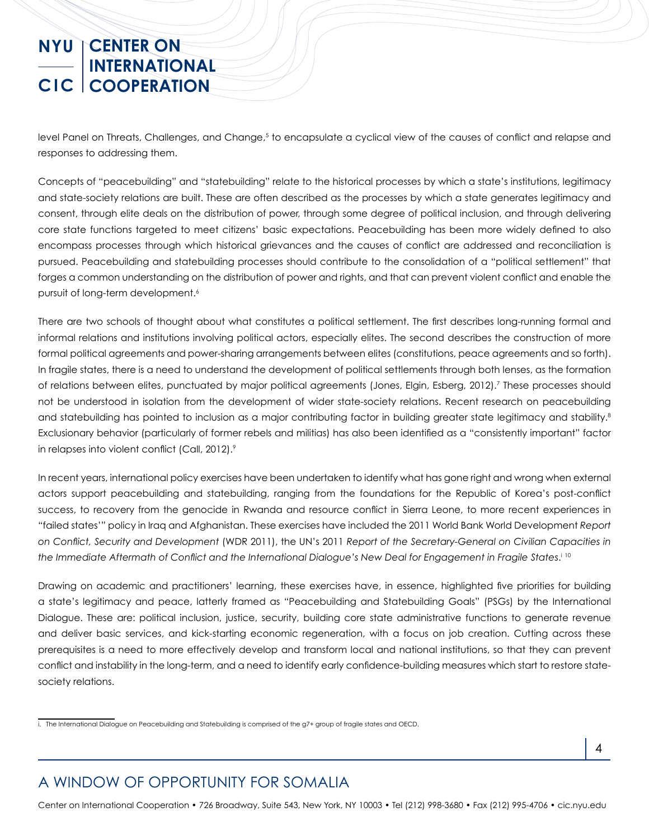level Panel on Threats, Challenges, and Change,<sup>5</sup> to encapsulate a cyclical view of the causes of conflict and relapse and responses to addressing them.

Concepts of "peacebuilding" and "statebuilding" relate to the historical processes by which a state's institutions, legitimacy and state-society relations are built. These are often described as the processes by which a state generates legitimacy and consent, through elite deals on the distribution of power, through some degree of political inclusion, and through delivering core state functions targeted to meet citizens' basic expectations. Peacebuilding has been more widely defined to also encompass processes through which historical grievances and the causes of conflict are addressed and reconciliation is pursued. Peacebuilding and statebuilding processes should contribute to the consolidation of a "political settlement" that forges a common understanding on the distribution of power and rights, and that can prevent violent conflict and enable the pursuit of long-term development.<sup>6</sup>

There are two schools of thought about what constitutes a political settlement. The first describes long-running formal and informal relations and institutions involving political actors, especially elites. The second describes the construction of more formal political agreements and power-sharing arrangements between elites (constitutions, peace agreements and so forth). In fragile states, there is a need to understand the development of political settlements through both lenses, as the formation of relations between elites, punctuated by major political agreements (Jones, Elgin, Esberg, 2012).7 These processes should not be understood in isolation from the development of wider state-society relations. Recent research on peacebuilding and statebuilding has pointed to inclusion as a major contributing factor in building greater state legitimacy and stability.<sup>8</sup> Exclusionary behavior (particularly of former rebels and militias) has also been identified as a "consistently important" factor in relapses into violent conflict (Call, 2012).<sup>9</sup>

In recent years, international policy exercises have been undertaken to identify what has gone right and wrong when external actors support peacebuilding and statebuilding, ranging from the foundations for the Republic of Korea's post-conflict success, to recovery from the genocide in Rwanda and resource conflict in Sierra Leone, to more recent experiences in "failed states'" policy in Iraq and Afghanistan. These exercises have included the 2011 World Bank World Development *Report on Conflict, Security and Development* (WDR 2011), the UN's 2011 *Report of the Secretary-General on Civilian Capacities in the Immediate Aftermath of Conflict and the International Dialogue's New Deal for Engagement in Fragile States*. i 10

Drawing on academic and practitioners' learning, these exercises have, in essence, highlighted five priorities for building a state's legitimacy and peace, latterly framed as "Peacebuilding and Statebuilding Goals" (PSGs) by the International Dialogue. These are: political inclusion, justice, security, building core state administrative functions to generate revenue and deliver basic services, and kick-starting economic regeneration, with a focus on job creation. Cutting across these prerequisites is a need to more effectively develop and transform local and national institutions, so that they can prevent conflict and instability in the long-term, and a need to identify early confidence-building measures which start to restore statesociety relations.

## A WINDOW OF OPPORTUNITY FOR SOMALIA

Center on International Cooperation • 726 Broadway, Suite 543, New York, NY 10003 • Tel (212) 998-3680 • Fax (212) 995-4706 • cic.nyu.edu

i. The International Dialogue on Peacebuilding and Statebuilding is comprised of the g7+ group of fragile states and OECD.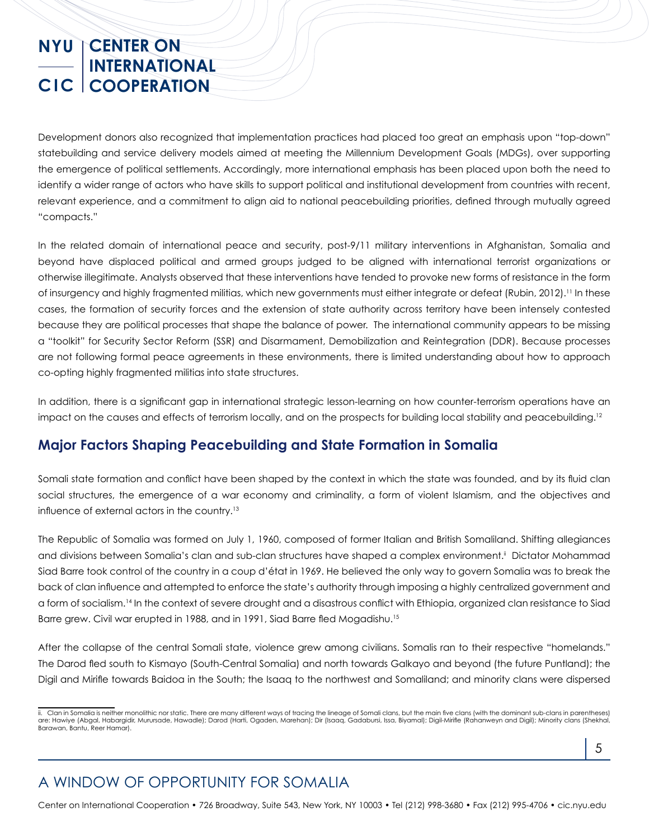Development donors also recognized that implementation practices had placed too great an emphasis upon "top-down" statebuilding and service delivery models aimed at meeting the Millennium Development Goals (MDGs), over supporting the emergence of political settlements. Accordingly, more international emphasis has been placed upon both the need to identify a wider range of actors who have skills to support political and institutional development from countries with recent, relevant experience, and a commitment to align aid to national peacebuilding priorities, defined through mutually agreed "compacts."

In the related domain of international peace and security, post-9/11 military interventions in Afghanistan, Somalia and beyond have displaced political and armed groups judged to be aligned with international terrorist organizations or otherwise illegitimate. Analysts observed that these interventions have tended to provoke new forms of resistance in the form of insurgency and highly fragmented militias, which new governments must either integrate or defeat (Rubin, 2012).<sup>11</sup> In these cases, the formation of security forces and the extension of state authority across territory have been intensely contested because they are political processes that shape the balance of power. The international community appears to be missing a "toolkit" for Security Sector Reform (SSR) and Disarmament, Demobilization and Reintegration (DDR). Because processes are not following formal peace agreements in these environments, there is limited understanding about how to approach co-opting highly fragmented militias into state structures.

In addition, there is a significant gap in international strategic lesson-learning on how counter-terrorism operations have an impact on the causes and effects of terrorism locally, and on the prospects for building local stability and peacebuilding.<sup>12</sup>

#### **Major Factors Shaping Peacebuilding and State Formation in Somalia**

Somali state formation and conflict have been shaped by the context in which the state was founded, and by its fluid clan social structures, the emergence of a war economy and criminality, a form of violent Islamism, and the objectives and influence of external actors in the country.13

The Republic of Somalia was formed on July 1, 1960, composed of former Italian and British Somaliland. Shifting allegiances and divisions between Somalia's clan and sub-clan structures have shaped a complex environment.<sup>ii</sup> Dictator Mohammad Siad Barre took control of the country in a coup d'état in 1969. He believed the only way to govern Somalia was to break the back of clan influence and attempted to enforce the state's authority through imposing a highly centralized government and a form of socialism.14 In the context of severe drought and a disastrous conflict with Ethiopia, organized clan resistance to Siad Barre grew. Civil war erupted in 1988, and in 1991, Siad Barre fled Mogadishu.15

After the collapse of the central Somali state, violence grew among civilians. Somalis ran to their respective "homelands." The Darod fled south to Kismayo (South-Central Somalia) and north towards Galkayo and beyond (the future Puntland); the Digil and Mirifle towards Baidoa in the South; the Isaaq to the northwest and Somaliland; and minority clans were dispersed

5

## A WINDOW OF OPPORTUNITY FOR SOMALIA

Center on International Cooperation • 726 Broadway, Suite 543, New York, NY 10003 • Tel (212) 998-3680 • Fax (212) 995-4706 • cic.nyu.edu

ii. Clan in Somalia is neither monolithic nor static. There are many different ways of tracing the lineage of Somali clans, but the main five clans (with the dominant sub-clans in parentheses) are: Hawiye (Abgal, Habargidir, Murursade, Hawadle); Darod (Harti, Ogaden, Marehan); Dir (Isaaq, Gadabursi, Issa, Biyamal); Digil-Mirifle (Rahanweyn and Digil); Minority clans (Shekhal, Barawan, Bantu, Reer Hamar).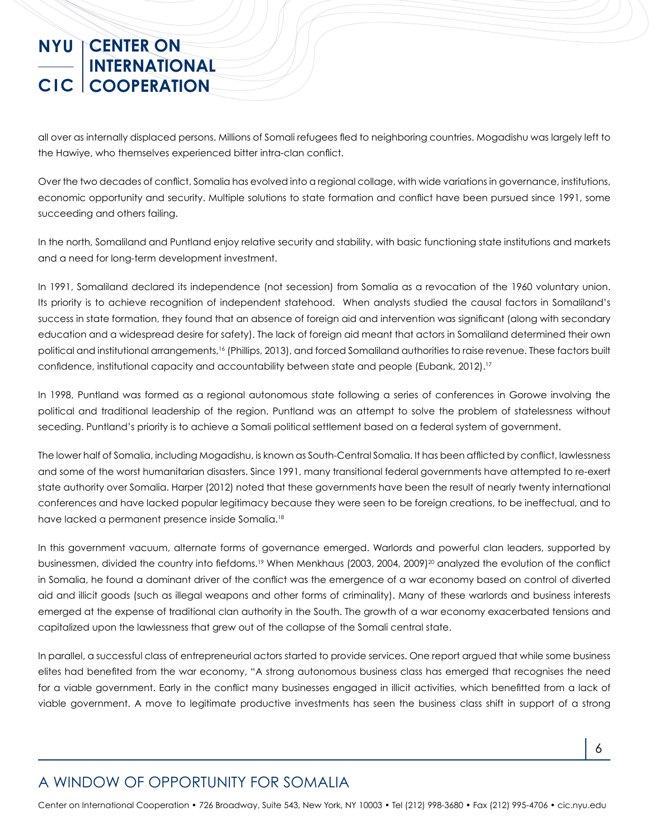all over as internally displaced persons. Millions of Somali refugees fled to neighboring countries. Mogadishu was largely left to the Hawiye, who themselves experienced bitter intra-clan conflict.

Over the two decades of conflict, Somalia has evolved into a regional collage, with wide variations in governance, institutions, economic opportunity and security. Multiple solutions to state formation and conflict have been pursued since 1991, some succeeding and others failing.

In the north, Somaliland and Puntland enjoy relative security and stability, with basic functioning state institutions and markets and a need for long-term development investment.

In 1991, Somaliland declared its independence (not secession) from Somalia as a revocation of the 1960 voluntary union. Its priority is to achieve recognition of independent statehood. When analysts studied the causal factors in Somaliland's success in state formation, they found that an absence of foreign aid and intervention was significant (along with secondary education and a widespread desire for safety). The lack of foreign aid meant that actors in Somaliland determined their own political and institutional arrangements,<sup>16</sup> (Phillips, 2013), and forced Somaliland authorities to raise revenue. These factors built confidence, institutional capacity and accountability between state and people (Eubank, 2012).<sup>17</sup>

In 1998, Puntland was formed as a regional autonomous state following a series of conferences in Gorowe involving the political and traditional leadership of the region. Puntland was an attempt to solve the problem of statelessness without seceding. Puntland's priority is to achieve a Somali political settlement based on a federal system of government.

The lower half of Somalia, including Mogadishu, is known as South-Central Somalia. It has been afflicted by conflict, lawlessness and some of the worst humanitarian disasters. Since 1991, many transitional federal governments have attempted to re-exert state authority over Somalia. Harper (2012) noted that these governments have been the result of nearly twenty international conferences and have lacked popular legitimacy because they were seen to be foreign creations, to be ineffectual, and to have lacked a permanent presence inside Somalia.<sup>18</sup>

In this government vacuum, alternate forms of governance emerged. Warlords and powerful clan leaders, supported by businessmen, divided the country into fiefdoms.<sup>19</sup> When Menkhaus (2003, 2004, 2009)<sup>20</sup> analyzed the evolution of the conflict in Somalia, he found a dominant driver of the conflict was the emergence of a war economy based on control of diverted aid and illicit goods (such as illegal weapons and other forms of criminality). Many of these warlords and business interests emerged at the expense of traditional clan authority in the South. The growth of a war economy exacerbated tensions and capitalized upon the lawlessness that grew out of the collapse of the Somali central state.

In parallel, a successful class of entrepreneurial actors started to provide services. One report argued that while some business elites had benefited from the war economy, "A strong autonomous business class has emerged that recognises the need for a viable government. Early in the conflict many businesses engaged in illicit activities, which benefitted from a lack of viable government. A move to legitimate productive investments has seen the business class shift in support of a strong

## A WINDOW OF OPPORTUNITY FOR SOMALIA

Center on International Cooperation • 726 Broadway, Suite 543, New York, NY 10003 • Tel (212) 998-3680 • Fax (212) 995-4706 • cic.nyu.edu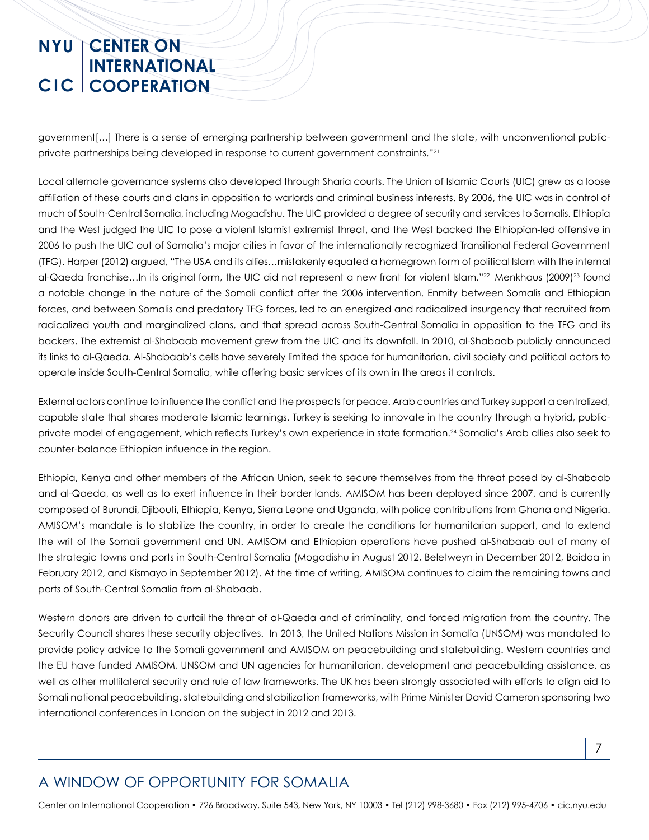government[…] There is a sense of emerging partnership between government and the state, with unconventional publicprivate partnerships being developed in response to current government constraints."<sup>21</sup>

Local alternate governance systems also developed through Sharia courts. The Union of Islamic Courts (UIC) grew as a loose affiliation of these courts and clans in opposition to warlords and criminal business interests. By 2006, the UIC was in control of much of South-Central Somalia, including Mogadishu. The UIC provided a degree of security and services to Somalis. Ethiopia and the West judged the UIC to pose a violent Islamist extremist threat, and the West backed the Ethiopian-led offensive in 2006 to push the UIC out of Somalia's major cities in favor of the internationally recognized Transitional Federal Government (TFG). Harper (2012) argued, "The USA and its allies…mistakenly equated a homegrown form of political Islam with the internal al-Qaeda franchise…In its original form, the UIC did not represent a new front for violent Islam."22 Menkhaus (2009)23 found a notable change in the nature of the Somali conflict after the 2006 intervention. Enmity between Somalis and Ethiopian forces, and between Somalis and predatory TFG forces, led to an energized and radicalized insurgency that recruited from radicalized youth and marginalized clans, and that spread across South-Central Somalia in opposition to the TFG and its backers. The extremist al-Shabaab movement grew from the UIC and its downfall. In 2010, al-Shabaab publicly announced its links to al-Qaeda. Al-Shabaab's cells have severely limited the space for humanitarian, civil society and political actors to operate inside South-Central Somalia, while offering basic services of its own in the areas it controls.

External actors continue to influence the conflict and the prospects for peace. Arab countries and Turkey support a centralized, capable state that shares moderate Islamic learnings. Turkey is seeking to innovate in the country through a hybrid, publicprivate model of engagement, which reflects Turkey's own experience in state formation.24 Somalia's Arab allies also seek to counter-balance Ethiopian influence in the region.

Ethiopia, Kenya and other members of the African Union, seek to secure themselves from the threat posed by al-Shabaab and al-Qaeda, as well as to exert influence in their border lands. AMISOM has been deployed since 2007, and is currently composed of Burundi, Djibouti, Ethiopia, Kenya, Sierra Leone and Uganda, with police contributions from Ghana and Nigeria. AMISOM's mandate is to stabilize the country, in order to create the conditions for humanitarian support, and to extend the writ of the Somali government and UN. AMISOM and Ethiopian operations have pushed al-Shabaab out of many of the strategic towns and ports in South-Central Somalia (Mogadishu in August 2012, Beletweyn in December 2012, Baidoa in February 2012, and Kismayo in September 2012). At the time of writing, AMISOM continues to claim the remaining towns and ports of South-Central Somalia from al-Shabaab.

Western donors are driven to curtail the threat of al-Qaeda and of criminality, and forced migration from the country. The Security Council shares these security objectives. In 2013, the United Nations Mission in Somalia (UNSOM) was mandated to provide policy advice to the Somali government and AMISOM on peacebuilding and statebuilding. Western countries and the EU have funded AMISOM, UNSOM and UN agencies for humanitarian, development and peacebuilding assistance, as well as other multilateral security and rule of law frameworks. The UK has been strongly associated with efforts to align aid to Somali national peacebuilding, statebuilding and stabilization frameworks, with Prime Minister David Cameron sponsoring two international conferences in London on the subject in 2012 and 2013.

## A WINDOW OF OPPORTUNITY FOR SOMALIA

Center on International Cooperation • 726 Broadway, Suite 543, New York, NY 10003 • Tel (212) 998-3680 • Fax (212) 995-4706 • cic.nyu.edu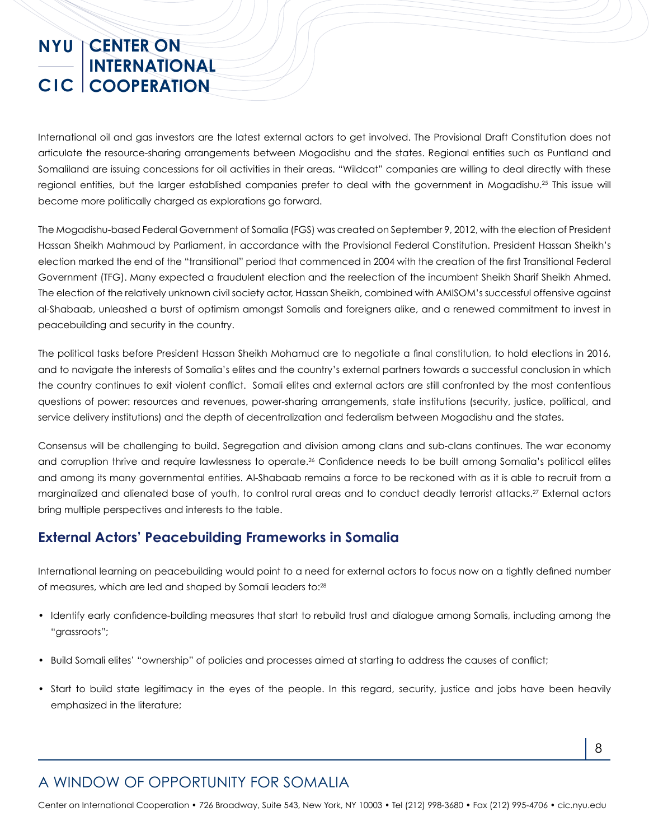International oil and gas investors are the latest external actors to get involved. The Provisional Draft Constitution does not articulate the resource-sharing arrangements between Mogadishu and the states. Regional entities such as Puntland and Somaliland are issuing concessions for oil activities in their areas. "Wildcat" companies are willing to deal directly with these regional entities, but the larger established companies prefer to deal with the government in Mogadishu.25 This issue will become more politically charged as explorations go forward.

The Mogadishu-based Federal Government of Somalia (FGS) was created on September 9, 2012, with the election of President Hassan Sheikh Mahmoud by Parliament, in accordance with the Provisional Federal Constitution. President Hassan Sheikh's election marked the end of the "transitional" period that commenced in 2004 with the creation of the first Transitional Federal Government (TFG). Many expected a fraudulent election and the reelection of the incumbent Sheikh Sharif Sheikh Ahmed. The election of the relatively unknown civil society actor, Hassan Sheikh, combined with AMISOM's successful offensive against al-Shabaab, unleashed a burst of optimism amongst Somalis and foreigners alike, and a renewed commitment to invest in peacebuilding and security in the country.

The political tasks before President Hassan Sheikh Mohamud are to negotiate a final constitution, to hold elections in 2016, and to navigate the interests of Somalia's elites and the country's external partners towards a successful conclusion in which the country continues to exit violent conflict. Somali elites and external actors are still confronted by the most contentious questions of power: resources and revenues, power-sharing arrangements, state institutions (security, justice, political, and service delivery institutions) and the depth of decentralization and federalism between Mogadishu and the states.

Consensus will be challenging to build. Segregation and division among clans and sub-clans continues. The war economy and corruption thrive and require lawlessness to operate.26 Confidence needs to be built among Somalia's political elites and among its many governmental entities. Al-Shabaab remains a force to be reckoned with as it is able to recruit from a marginalized and alienated base of youth, to control rural areas and to conduct deadly terrorist attacks.27 External actors bring multiple perspectives and interests to the table.

#### **External Actors' Peacebuilding Frameworks in Somalia**

International learning on peacebuilding would point to a need for external actors to focus now on a tightly defined number of measures, which are led and shaped by Somali leaders to:28

- Identify early confidence-building measures that start to rebuild trust and dialogue among Somalis, including among the "grassroots";
- Build Somali elites' "ownership" of policies and processes aimed at starting to address the causes of conflict;
- Start to build state legitimacy in the eyes of the people. In this regard, security, justice and jobs have been heavily emphasized in the literature;

Center on International Cooperation • 726 Broadway, Suite 543, New York, NY 10003 • Tel (212) 998-3680 • Fax (212) 995-4706 • cic.nyu.edu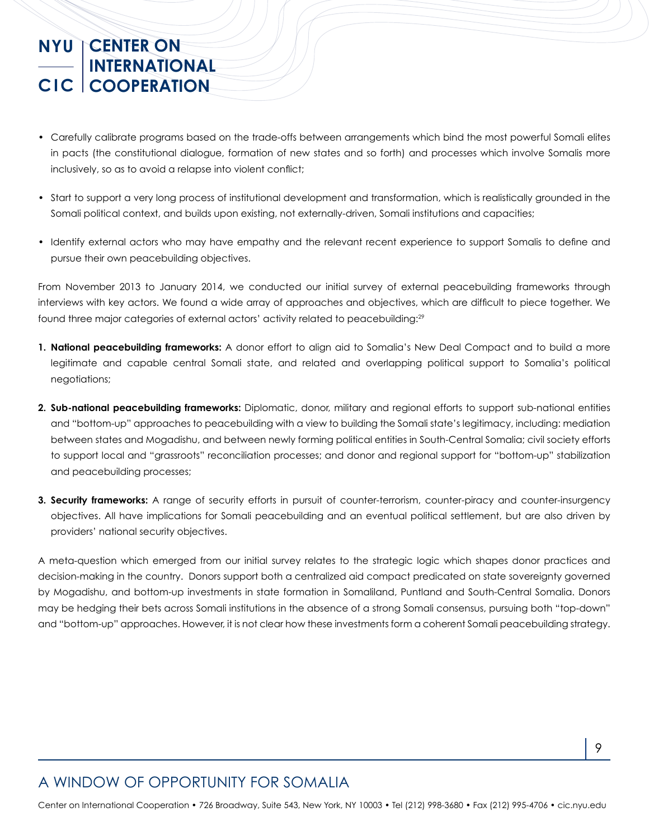- Carefully calibrate programs based on the trade-offs between arrangements which bind the most powerful Somali elites in pacts (the constitutional dialogue, formation of new states and so forth) and processes which involve Somalis more inclusively, so as to avoid a relapse into violent conflict;
- Start to support a very long process of institutional development and transformation, which is realistically grounded in the Somali political context, and builds upon existing, not externally-driven, Somali institutions and capacities;
- Identify external actors who may have empathy and the relevant recent experience to support Somalis to define and pursue their own peacebuilding objectives.

From November 2013 to January 2014, we conducted our initial survey of external peacebuilding frameworks through interviews with key actors. We found a wide array of approaches and objectives, which are difficult to piece together. We found three major categories of external actors' activity related to peacebuilding:29

- **1. National peacebuilding frameworks:** A donor effort to align aid to Somalia's New Deal Compact and to build a more legitimate and capable central Somali state, and related and overlapping political support to Somalia's political negotiations;
- **2. Sub-national peacebuilding frameworks:** Diplomatic, donor, military and regional efforts to support sub-national entities and "bottom-up" approaches to peacebuilding with a view to building the Somali state's legitimacy, including: mediation between states and Mogadishu, and between newly forming political entities in South-Central Somalia; civil society efforts to support local and "grassroots" reconciliation processes; and donor and regional support for "bottom-up" stabilization and peacebuilding processes;
- **3. Security frameworks:** A range of security efforts in pursuit of counter-terrorism, counter-piracy and counter-insurgency objectives. All have implications for Somali peacebuilding and an eventual political settlement, but are also driven by providers' national security objectives.

A meta-question which emerged from our initial survey relates to the strategic logic which shapes donor practices and decision-making in the country. Donors support both a centralized aid compact predicated on state sovereignty governed by Mogadishu, and bottom-up investments in state formation in Somaliland, Puntland and South-Central Somalia. Donors may be hedging their bets across Somali institutions in the absence of a strong Somali consensus, pursuing both "top-down" and "bottom-up" approaches. However, it is not clear how these investments form a coherent Somali peacebuilding strategy.

## A WINDOW OF OPPORTUNITY FOR SOMALIA

Center on International Cooperation • 726 Broadway, Suite 543, New York, NY 10003 • Tel (212) 998-3680 • Fax (212) 995-4706 • cic.nyu.edu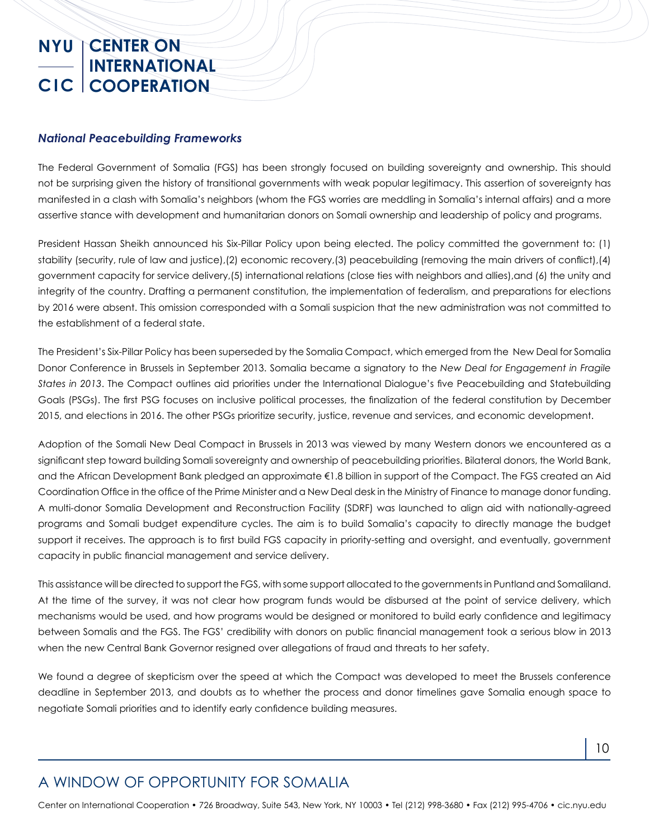#### *National Peacebuilding Frameworks*

The Federal Government of Somalia (FGS) has been strongly focused on building sovereignty and ownership. This should not be surprising given the history of transitional governments with weak popular legitimacy. This assertion of sovereignty has manifested in a clash with Somalia's neighbors (whom the FGS worries are meddling in Somalia's internal affairs) and a more assertive stance with development and humanitarian donors on Somali ownership and leadership of policy and programs.

President Hassan Sheikh announced his Six-Pillar Policy upon being elected. The policy committed the government to: (1) stability (security, rule of law and justice),(2) economic recovery,(3) peacebuilding (removing the main drivers of conflict),(4) government capacity for service delivery,(5) international relations (close ties with neighbors and allies),and (6) the unity and integrity of the country. Drafting a permanent constitution, the implementation of federalism, and preparations for elections by 2016 were absent. This omission corresponded with a Somali suspicion that the new administration was not committed to the establishment of a federal state.

The President's Six-Pillar Policy has been superseded by the Somalia Compact, which emerged from the New Deal for Somalia Donor Conference in Brussels in September 2013. Somalia became a signatory to the *New Deal for Engagement in Fragile States in 2013*. The Compact outlines aid priorities under the International Dialogue's five Peacebuilding and Statebuilding Goals (PSGs). The first PSG focuses on inclusive political processes, the finalization of the federal constitution by December 2015, and elections in 2016. The other PSGs prioritize security, justice, revenue and services, and economic development.

Adoption of the Somali New Deal Compact in Brussels in 2013 was viewed by many Western donors we encountered as a significant step toward building Somali sovereignty and ownership of peacebuilding priorities. Bilateral donors, the World Bank, and the African Development Bank pledged an approximate €1.8 billion in support of the Compact. The FGS created an Aid Coordination Office in the office of the Prime Minister and a New Deal desk in the Ministry of Finance to manage donor funding. A multi-donor Somalia Development and Reconstruction Facility (SDRF) was launched to align aid with nationally-agreed programs and Somali budget expenditure cycles. The aim is to build Somalia's capacity to directly manage the budget support it receives. The approach is to first build FGS capacity in priority-setting and oversight, and eventually, government capacity in public financial management and service delivery.

This assistance will be directed to support the FGS, with some support allocated to the governments in Puntland and Somaliland. At the time of the survey, it was not clear how program funds would be disbursed at the point of service delivery, which mechanisms would be used, and how programs would be designed or monitored to build early confidence and legitimacy between Somalis and the FGS. The FGS' credibility with donors on public financial management took a serious blow in 2013 when the new Central Bank Governor resigned over allegations of fraud and threats to her safety.

We found a degree of skepticism over the speed at which the Compact was developed to meet the Brussels conference deadline in September 2013, and doubts as to whether the process and donor timelines gave Somalia enough space to negotiate Somali priorities and to identify early confidence building measures.

## A WINDOW OF OPPORTUNITY FOR SOMALIA

Center on International Cooperation • 726 Broadway, Suite 543, New York, NY 10003 • Tel (212) 998-3680 • Fax (212) 995-4706 • cic.nyu.edu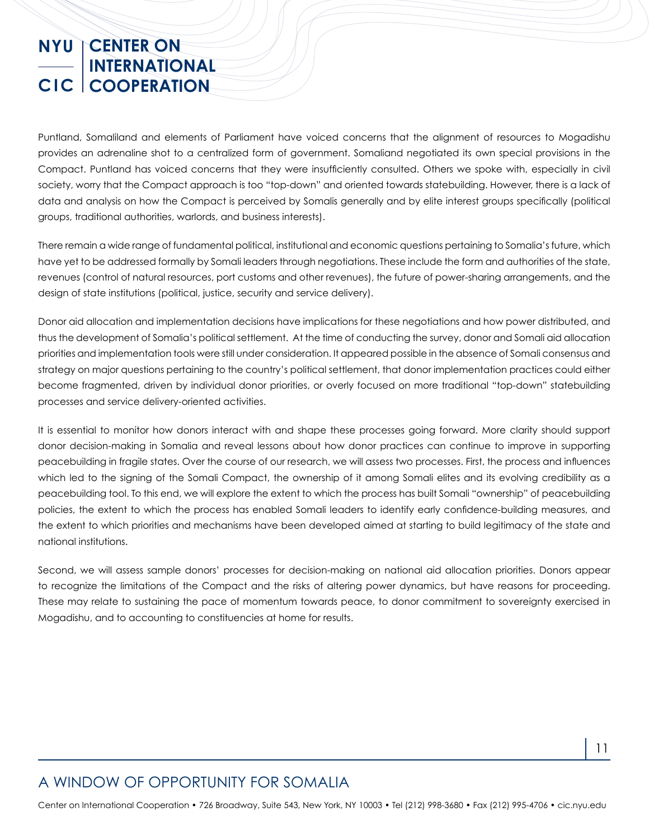Puntland, Somaliland and elements of Parliament have voiced concerns that the alignment of resources to Mogadishu provides an adrenaline shot to a centralized form of government. Somaliand negotiated its own special provisions in the Compact. Puntland has voiced concerns that they were insufficiently consulted. Others we spoke with, especially in civil society, worry that the Compact approach is too "top-down" and oriented towards statebuilding. However, there is a lack of data and analysis on how the Compact is perceived by Somalis generally and by elite interest groups specifically (political groups, traditional authorities, warlords, and business interests).

There remain a wide range of fundamental political, institutional and economic questions pertaining to Somalia's future, which have yet to be addressed formally by Somali leaders through negotiations. These include the form and authorities of the state, revenues (control of natural resources, port customs and other revenues), the future of power-sharing arrangements, and the design of state institutions (political, justice, security and service delivery).

Donor aid allocation and implementation decisions have implications for these negotiations and how power distributed, and thus the development of Somalia's political settlement. At the time of conducting the survey, donor and Somali aid allocation priorities and implementation tools were still under consideration. It appeared possible in the absence of Somali consensus and strategy on major questions pertaining to the country's political settlement, that donor implementation practices could either become fragmented, driven by individual donor priorities, or overly focused on more traditional "top-down" statebuilding processes and service delivery-oriented activities.

It is essential to monitor how donors interact with and shape these processes going forward. More clarity should support donor decision-making in Somalia and reveal lessons about how donor practices can continue to improve in supporting peacebuilding in fragile states. Over the course of our research, we will assess two processes. First, the process and influences which led to the signing of the Somali Compact, the ownership of it among Somali elites and its evolving credibility as a peacebuilding tool. To this end, we will explore the extent to which the process has built Somali "ownership" of peacebuilding policies, the extent to which the process has enabled Somali leaders to identify early confidence-building measures, and the extent to which priorities and mechanisms have been developed aimed at starting to build legitimacy of the state and national institutions.

Second, we will assess sample donors' processes for decision-making on national aid allocation priorities. Donors appear to recognize the limitations of the Compact and the risks of altering power dynamics, but have reasons for proceeding. These may relate to sustaining the pace of momentum towards peace, to donor commitment to sovereignty exercised in Mogadishu, and to accounting to constituencies at home for results.

## A WINDOW OF OPPORTUNITY FOR SOMALIA

Center on International Cooperation • 726 Broadway, Suite 543, New York, NY 10003 • Tel (212) 998-3680 • Fax (212) 995-4706 • cic.nyu.edu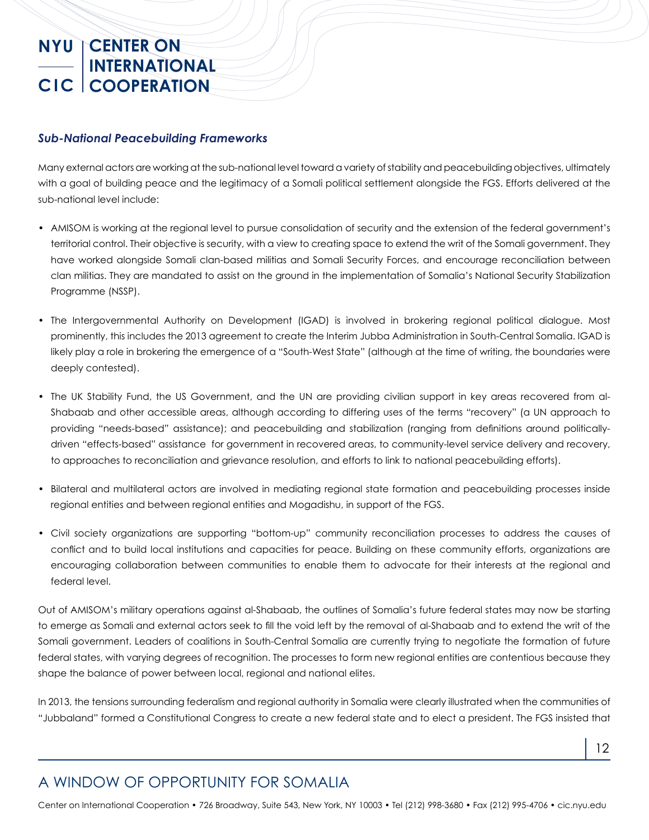#### *Sub-National Peacebuilding Frameworks*

Many external actors are working at the sub-national level toward a variety of stability and peacebuilding objectives, ultimately with a goal of building peace and the legitimacy of a Somali political settlement alongside the FGS. Efforts delivered at the sub-national level include:

- AMISOM is working at the regional level to pursue consolidation of security and the extension of the federal government's territorial control. Their objective is security, with a view to creating space to extend the writ of the Somali government. They have worked alongside Somali clan-based militias and Somali Security Forces, and encourage reconciliation between clan militias. They are mandated to assist on the ground in the implementation of Somalia's National Security Stabilization Programme (NSSP).
- The Intergovernmental Authority on Development (IGAD) is involved in brokering regional political dialogue. Most prominently, this includes the 2013 agreement to create the Interim Jubba Administration in South-Central Somalia. IGAD is likely play a role in brokering the emergence of a "South-West State" (although at the time of writing, the boundaries were deeply contested).
- The UK Stability Fund, the US Government, and the UN are providing civilian support in key areas recovered from al-Shabaab and other accessible areas, although according to differing uses of the terms "recovery" (a UN approach to providing "needs-based" assistance); and peacebuilding and stabilization (ranging from definitions around politicallydriven "effects-based" assistance for government in recovered areas, to community-level service delivery and recovery, to approaches to reconciliation and grievance resolution, and efforts to link to national peacebuilding efforts).
- Bilateral and multilateral actors are involved in mediating regional state formation and peacebuilding processes inside regional entities and between regional entities and Mogadishu, in support of the FGS.
- Civil society organizations are supporting "bottom-up" community reconciliation processes to address the causes of conflict and to build local institutions and capacities for peace. Building on these community efforts, organizations are encouraging collaboration between communities to enable them to advocate for their interests at the regional and federal level.

Out of AMISOM's military operations against al-Shabaab, the outlines of Somalia's future federal states may now be starting to emerge as Somali and external actors seek to fill the void left by the removal of al-Shabaab and to extend the writ of the Somali government. Leaders of coalitions in South-Central Somalia are currently trying to negotiate the formation of future federal states, with varying degrees of recognition. The processes to form new regional entities are contentious because they shape the balance of power between local, regional and national elites.

In 2013, the tensions surrounding federalism and regional authority in Somalia were clearly illustrated when the communities of "Jubbaland" formed a Constitutional Congress to create a new federal state and to elect a president. The FGS insisted that

## A WINDOW OF OPPORTUNITY FOR SOMALIA

Center on International Cooperation • 726 Broadway, Suite 543, New York, NY 10003 • Tel (212) 998-3680 • Fax (212) 995-4706 • cic.nyu.edu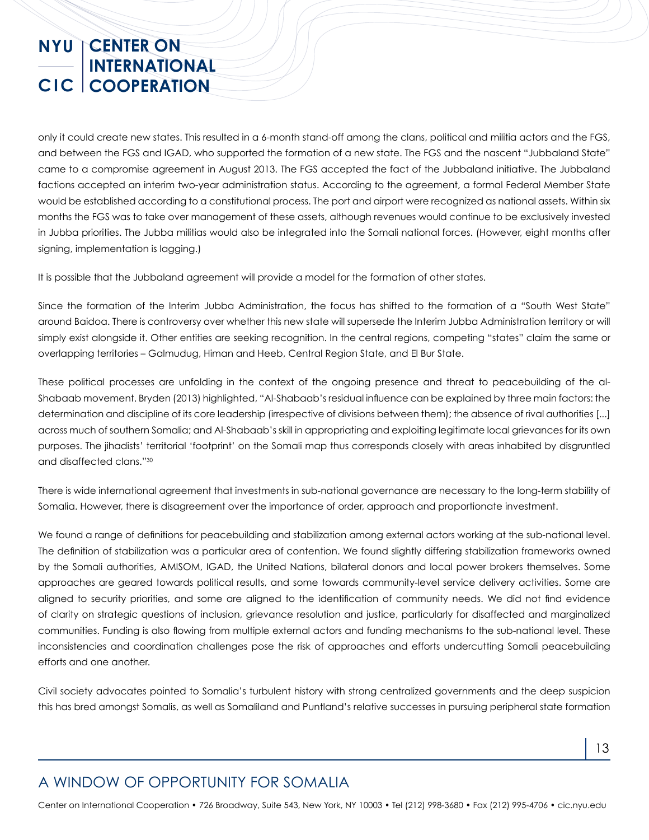only it could create new states. This resulted in a 6-month stand-off among the clans, political and militia actors and the FGS, and between the FGS and IGAD, who supported the formation of a new state. The FGS and the nascent "Jubbaland State" came to a compromise agreement in August 2013. The FGS accepted the fact of the Jubbaland initiative. The Jubbaland factions accepted an interim two-year administration status. According to the agreement, a formal Federal Member State would be established according to a constitutional process. The port and airport were recognized as national assets. Within six months the FGS was to take over management of these assets, although revenues would continue to be exclusively invested in Jubba priorities. The Jubba militias would also be integrated into the Somali national forces. (However, eight months after signing, implementation is lagging.)

It is possible that the Jubbaland agreement will provide a model for the formation of other states.

Since the formation of the Interim Jubba Administration, the focus has shifted to the formation of a "South West State" around Baidoa. There is controversy over whether this new state will supersede the Interim Jubba Administration territory or will simply exist alongside it. Other entities are seeking recognition. In the central regions, competing "states" claim the same or overlapping territories – Galmudug, Himan and Heeb, Central Region State, and El Bur State.

These political processes are unfolding in the context of the ongoing presence and threat to peacebuilding of the al-Shabaab movement. Bryden (2013) highlighted, "Al-Shabaab's residual influence can be explained by three main factors: the determination and discipline of its core leadership (irrespective of divisions between them); the absence of rival authorities [...] across much of southern Somalia; and Al-Shabaab's skill in appropriating and exploiting legitimate local grievances for its own purposes. The jihadists' territorial 'footprint' on the Somali map thus corresponds closely with areas inhabited by disgruntled and disaffected clans."30

There is wide international agreement that investments in sub-national governance are necessary to the long-term stability of Somalia. However, there is disagreement over the importance of order, approach and proportionate investment.

We found a range of definitions for peacebuilding and stabilization among external actors working at the sub-national level. The definition of stabilization was a particular area of contention. We found slightly differing stabilization frameworks owned by the Somali authorities, AMISOM, IGAD, the United Nations, bilateral donors and local power brokers themselves. Some approaches are geared towards political results, and some towards community-level service delivery activities. Some are aligned to security priorities, and some are aligned to the identification of community needs. We did not find evidence of clarity on strategic questions of inclusion, grievance resolution and justice, particularly for disaffected and marginalized communities. Funding is also flowing from multiple external actors and funding mechanisms to the sub-national level. These inconsistencies and coordination challenges pose the risk of approaches and efforts undercutting Somali peacebuilding efforts and one another.

Civil society advocates pointed to Somalia's turbulent history with strong centralized governments and the deep suspicion this has bred amongst Somalis, as well as Somaliland and Puntland's relative successes in pursuing peripheral state formation

## A WINDOW OF OPPORTUNITY FOR SOMALIA

Center on International Cooperation • 726 Broadway, Suite 543, New York, NY 10003 • Tel (212) 998-3680 • Fax (212) 995-4706 • cic.nyu.edu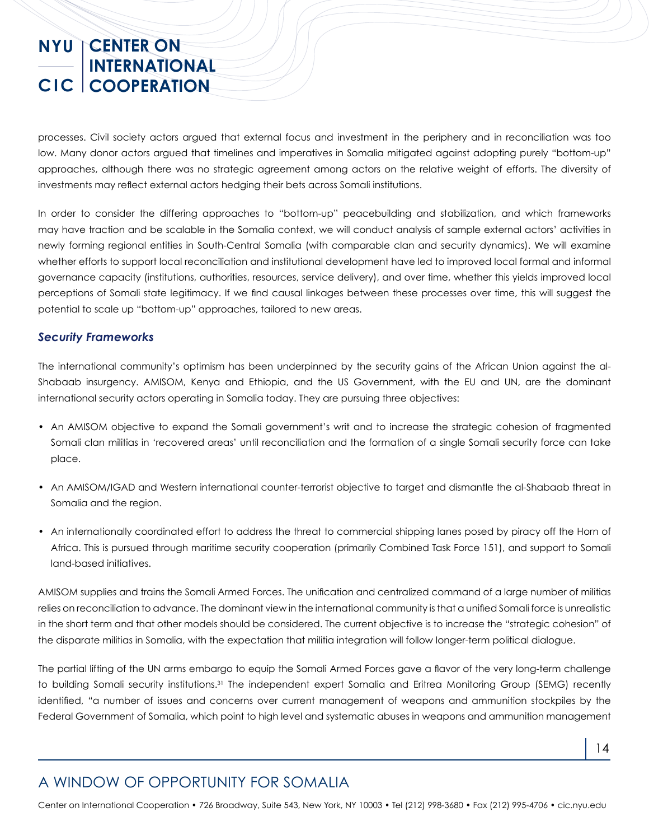processes. Civil society actors argued that external focus and investment in the periphery and in reconciliation was too low. Many donor actors argued that timelines and imperatives in Somalia mitigated against adopting purely "bottom-up" approaches, although there was no strategic agreement among actors on the relative weight of efforts. The diversity of investments may reflect external actors hedging their bets across Somali institutions.

In order to consider the differing approaches to "bottom-up" peacebuilding and stabilization, and which frameworks may have traction and be scalable in the Somalia context, we will conduct analysis of sample external actors' activities in newly forming regional entities in South-Central Somalia (with comparable clan and security dynamics). We will examine whether efforts to support local reconciliation and institutional development have led to improved local formal and informal governance capacity (institutions, authorities, resources, service delivery), and over time, whether this yields improved local perceptions of Somali state legitimacy. If we find causal linkages between these processes over time, this will suggest the potential to scale up "bottom-up" approaches, tailored to new areas.

#### *Security Frameworks*

The international community's optimism has been underpinned by the security gains of the African Union against the al-Shabaab insurgency. AMISOM, Kenya and Ethiopia, and the US Government, with the EU and UN, are the dominant international security actors operating in Somalia today. They are pursuing three objectives:

- An AMISOM objective to expand the Somali government's writ and to increase the strategic cohesion of fragmented Somali clan militias in 'recovered areas' until reconciliation and the formation of a single Somali security force can take place.
- An AMISOM/IGAD and Western international counter-terrorist objective to target and dismantle the al-Shabaab threat in Somalia and the region.
- An internationally coordinated effort to address the threat to commercial shipping lanes posed by piracy off the Horn of Africa. This is pursued through maritime security cooperation (primarily Combined Task Force 151), and support to Somali land-based initiatives.

AMISOM supplies and trains the Somali Armed Forces. The unification and centralized command of a large number of militias relies on reconciliation to advance. The dominant view in the international community is that a unified Somali force is unrealistic in the short term and that other models should be considered. The current objective is to increase the "strategic cohesion" of the disparate militias in Somalia, with the expectation that militia integration will follow longer-term political dialogue.

The partial lifting of the UN arms embargo to equip the Somali Armed Forces gave a flavor of the very long-term challenge to building Somali security institutions.31 The independent expert Somalia and Eritrea Monitoring Group (SEMG) recently identified, "a number of issues and concerns over current management of weapons and ammunition stockpiles by the Federal Government of Somalia, which point to high level and systematic abuses in weapons and ammunition management

## A WINDOW OF OPPORTUNITY FOR SOMALIA

Center on International Cooperation • 726 Broadway, Suite 543, New York, NY 10003 • Tel (212) 998-3680 • Fax (212) 995-4706 • cic.nyu.edu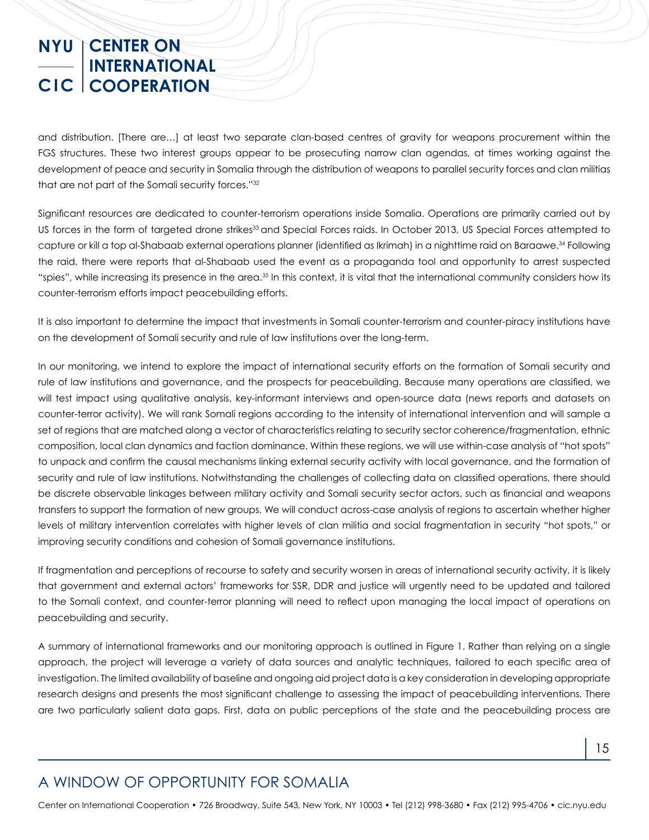and distribution. [There are…] at least two separate clan-based centres of gravity for weapons procurement within the FGS structures. These two interest groups appear to be prosecuting narrow clan agendas, at times working against the development of peace and security in Somalia through the distribution of weapons to parallel security forces and clan militias that are not part of the Somali security forces."32

Significant resources are dedicated to counter-terrorism operations inside Somalia. Operations are primarily carried out by US forces in the form of targeted drone strikes<sup>33</sup> and Special Forces raids. In October 2013, US Special Forces attempted to capture or kill a top al-Shabaab external operations planner (identified as Ikrimah) in a nighttime raid on Baraawe.34 Following the raid, there were reports that al-Shabaab used the event as a propaganda tool and opportunity to arrest suspected "spies", while increasing its presence in the area.<sup>35</sup> In this context, it is vital that the international community considers how its counter-terrorism efforts impact peacebuilding efforts.

It is also important to determine the impact that investments in Somali counter-terrorism and counter-piracy institutions have on the development of Somali security and rule of law institutions over the long-term.

In our monitoring, we intend to explore the impact of international security efforts on the formation of Somali security and rule of law institutions and governance, and the prospects for peacebuilding. Because many operations are classified, we will test impact using qualitative analysis, key-informant interviews and open-source data (news reports and datasets on counter-terror activity). We will rank Somali regions according to the intensity of international intervention and will sample a set of regions that are matched along a vector of characteristics relating to security sector coherence/fragmentation, ethnic composition, local clan dynamics and faction dominance. Within these regions, we will use within-case analysis of "hot spots" to unpack and confirm the causal mechanisms linking external security activity with local governance, and the formation of security and rule of law institutions. Notwithstanding the challenges of collecting data on classified operations, there should be discrete observable linkages between military activity and Somali security sector actors, such as financial and weapons transfers to support the formation of new groups. We will conduct across-case analysis of regions to ascertain whether higher levels of military intervention correlates with higher levels of clan militia and social fragmentation in security "hot spots," or improving security conditions and cohesion of Somali governance institutions.

If fragmentation and perceptions of recourse to safety and security worsen in areas of international security activity, it is likely that government and external actors' frameworks for SSR, DDR and justice will urgently need to be updated and tailored to the Somali context, and counter-terror planning will need to reflect upon managing the local impact of operations on peacebuilding and security.

A summary of international frameworks and our monitoring approach is outlined in Figure 1. Rather than relying on a single approach, the project will leverage a variety of data sources and analytic techniques, tailored to each specific area of investigation. The limited availability of baseline and ongoing aid project data is a key consideration in developing appropriate research designs and presents the most significant challenge to assessing the impact of peacebuilding interventions. There are two particularly salient data gaps. First, data on public perceptions of the state and the peacebuilding process are

## A WINDOW OF OPPORTUNITY FOR SOMALIA

Center on International Cooperation • 726 Broadway, Suite 543, New York, NY 10003 • Tel (212) 998-3680 • Fax (212) 995-4706 • cic.nyu.edu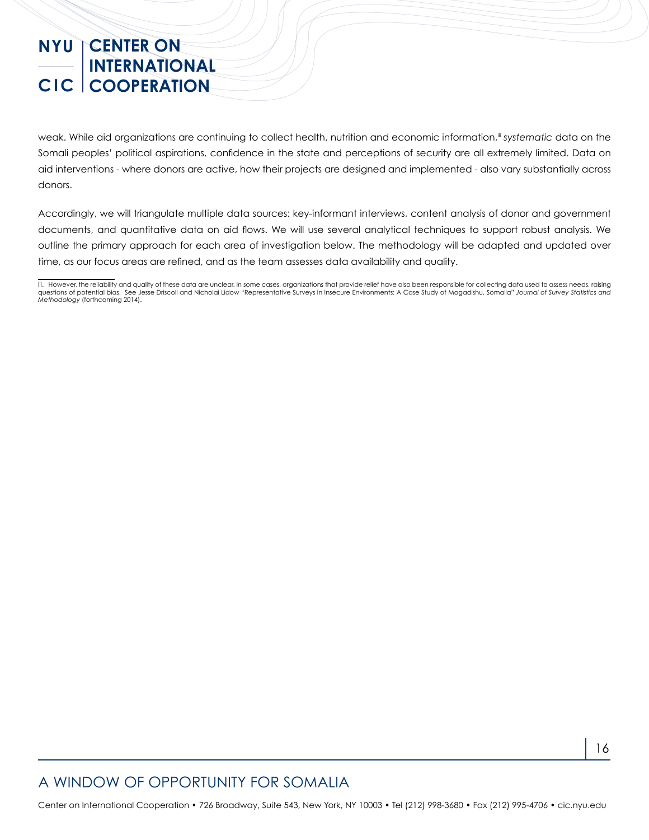weak. While aid organizations are continuing to collect health, nutrition and economic information,<sup>ii</sup> systematic data on the Somali peoples' political aspirations, confidence in the state and perceptions of security are all extremely limited. Data on aid interventions - where donors are active, how their projects are designed and implemented - also vary substantially across donors.

Accordingly, we will triangulate multiple data sources: key-informant interviews, content analysis of donor and government documents, and quantitative data on aid flows. We will use several analytical techniques to support robust analysis. We outline the primary approach for each area of investigation below. The methodology will be adapted and updated over time, as our focus areas are refined, and as the team assesses data availability and quality.

## A WINDOW OF OPPORTUNITY FOR SOMALIA

iii. However, the reliability and quality of these data are unclear. In some cases, organizations that provide relief have also been responsible for collecting data used to assess needs, raising questions of potential bias. See Jesse Driscoll and Nicholai Lidow "Representative Surveys in Insecure Environments: A Case Study of Mogadishu, Somalia" *Journal of Survey Statistics and Methodology* (forthcoming 2014).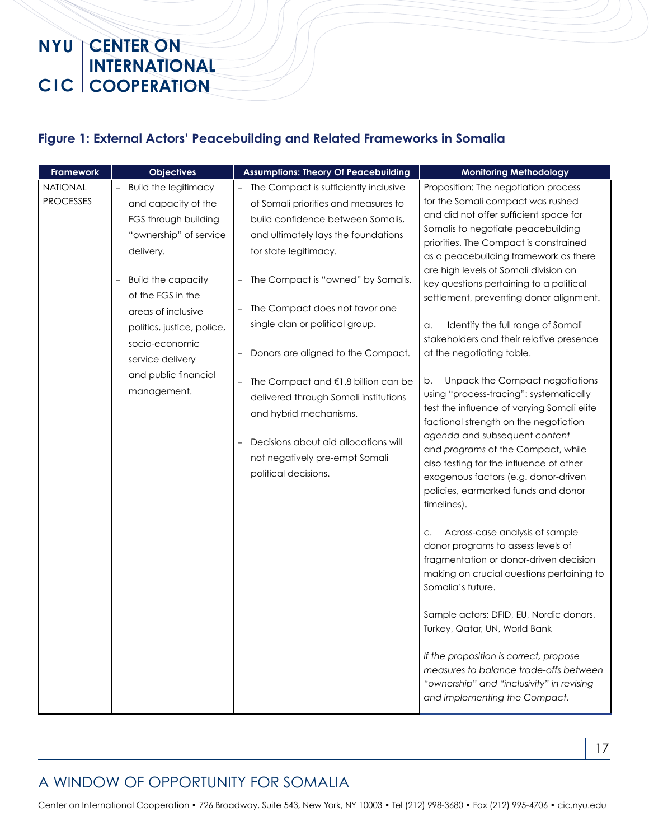#### **Figure 1: External Actors' Peacebuilding and Related Frameworks in Somalia**

| <b>Framework</b>             | <b>Objectives</b>                                                                                                                                                                                                                                                                                    | <b>Assumptions: Theory Of Peacebuilding</b>                                                                                                                                                                                                                                                                                                                                                                                                                                                                                                       | <b>Monitoring Methodology</b>                                                                                                                                                                                                                                                                                                                                                                                                                                                                                                                                                                                                                                                                                                                                                                                                                                                                                                                                                                                                                                                                                                                                                                                                                                                                                                      |
|------------------------------|------------------------------------------------------------------------------------------------------------------------------------------------------------------------------------------------------------------------------------------------------------------------------------------------------|---------------------------------------------------------------------------------------------------------------------------------------------------------------------------------------------------------------------------------------------------------------------------------------------------------------------------------------------------------------------------------------------------------------------------------------------------------------------------------------------------------------------------------------------------|------------------------------------------------------------------------------------------------------------------------------------------------------------------------------------------------------------------------------------------------------------------------------------------------------------------------------------------------------------------------------------------------------------------------------------------------------------------------------------------------------------------------------------------------------------------------------------------------------------------------------------------------------------------------------------------------------------------------------------------------------------------------------------------------------------------------------------------------------------------------------------------------------------------------------------------------------------------------------------------------------------------------------------------------------------------------------------------------------------------------------------------------------------------------------------------------------------------------------------------------------------------------------------------------------------------------------------|
| NATIONAL<br><b>PROCESSES</b> | <b>Build the legitimacy</b><br>and capacity of the<br>FGS through building<br>"ownership" of service<br>delivery.<br><b>Build the capacity</b><br>of the FGS in the<br>areas of inclusive<br>politics, justice, police,<br>socio-economic<br>service delivery<br>and public financial<br>management. | - The Compact is sufficiently inclusive<br>of Somali priorities and measures to<br>build confidence between Somalis,<br>and ultimately lays the foundations<br>for state legitimacy.<br>The Compact is "owned" by Somalis.<br>The Compact does not favor one<br>single clan or political group.<br>Donors are aligned to the Compact.<br>The Compact and €1.8 billion can be<br>delivered through Somali institutions<br>and hybrid mechanisms.<br>Decisions about aid allocations will<br>not negatively pre-empt Somali<br>political decisions. | Proposition: The negotiation process<br>for the Somali compact was rushed<br>and did not offer sufficient space for<br>Somalis to negotiate peacebuilding<br>priorities. The Compact is constrained<br>as a peacebuilding framework as there<br>are high levels of Somali division on<br>key questions pertaining to a political<br>settlement, preventing donor alignment.<br>Identify the full range of Somali<br>a.<br>stakeholders and their relative presence<br>at the negotiating table.<br>Unpack the Compact negotiations<br>b.<br>using "process-tracing": systematically<br>test the influence of varying Somali elite<br>factional strength on the negotiation<br>agenda and subsequent content<br>and programs of the Compact, while<br>also testing for the influence of other<br>exogenous factors (e.g. donor-driven<br>policies, earmarked funds and donor<br>timelines).<br>Across-case analysis of sample<br>C.<br>donor programs to assess levels of<br>fragmentation or donor-driven decision<br>making on crucial questions pertaining to<br>Somalia's future.<br>Sample actors: DFID, EU, Nordic donors,<br>Turkey, Qatar, UN, World Bank<br>If the proposition is correct, propose<br>measures to balance trade-offs between<br>"ownership" and "inclusivity" in revising<br>and implementing the Compact. |

### A WINDOW OF OPPORTUNITY FOR SOMALIA

Center on International Cooperation • 726 Broadway, Suite 543, New York, NY 10003 • Tel (212) 998-3680 • Fax (212) 995-4706 • cic.nyu.edu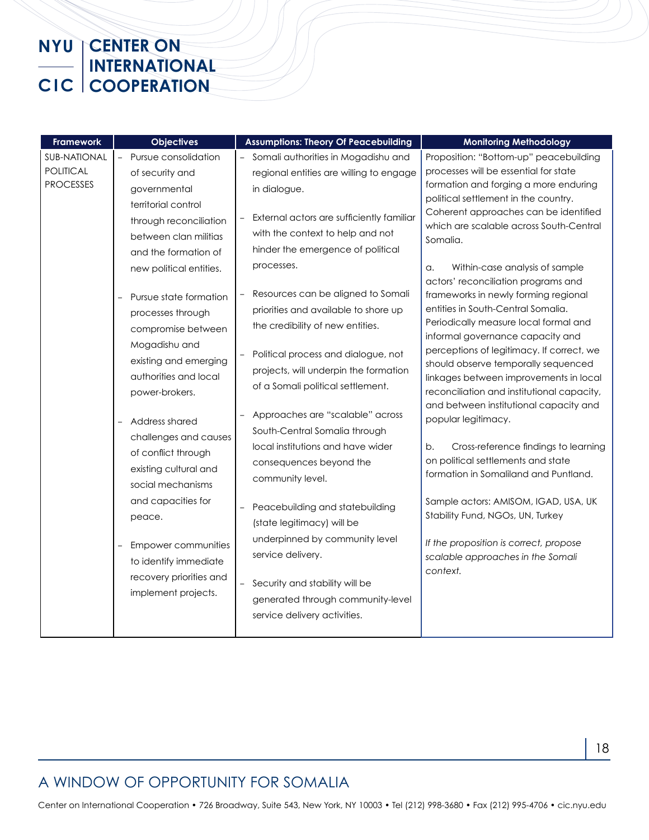| <b>Framework</b>                                            | <b>Objectives</b>                                                                                                                                                                                                                                                                                                                                                                                                                                                                                                                                                                                                            | <b>Assumptions: Theory Of Peacebuilding</b>                                                                                                                                                                                                                                                                                                                                                                                                                                                                                                                                                                                                                                                                                                                                                                                                                                                                     | <b>Monitoring Methodology</b>                                                                                                                                                                                                                                                                                                                                                                                                                                                                                                                                                                                                                                                                                                                                                                                                                                                                                                                                                                                                                               |
|-------------------------------------------------------------|------------------------------------------------------------------------------------------------------------------------------------------------------------------------------------------------------------------------------------------------------------------------------------------------------------------------------------------------------------------------------------------------------------------------------------------------------------------------------------------------------------------------------------------------------------------------------------------------------------------------------|-----------------------------------------------------------------------------------------------------------------------------------------------------------------------------------------------------------------------------------------------------------------------------------------------------------------------------------------------------------------------------------------------------------------------------------------------------------------------------------------------------------------------------------------------------------------------------------------------------------------------------------------------------------------------------------------------------------------------------------------------------------------------------------------------------------------------------------------------------------------------------------------------------------------|-------------------------------------------------------------------------------------------------------------------------------------------------------------------------------------------------------------------------------------------------------------------------------------------------------------------------------------------------------------------------------------------------------------------------------------------------------------------------------------------------------------------------------------------------------------------------------------------------------------------------------------------------------------------------------------------------------------------------------------------------------------------------------------------------------------------------------------------------------------------------------------------------------------------------------------------------------------------------------------------------------------------------------------------------------------|
| <b>SUB-NATIONAL</b><br><b>POLITICAL</b><br><b>PROCESSES</b> | Pursue consolidation<br>of security and<br>governmental<br>territorial control<br>through reconciliation<br>between clan militias<br>and the formation of<br>new political entities.<br>Pursue state formation<br>processes through<br>compromise between<br>Mogadishu and<br>existing and emerging<br>authorities and local<br>power-brokers.<br>Address shared<br>challenges and causes<br>of conflict through<br>existing cultural and<br>social mechanisms<br>and capacities for<br>peace.<br>Empower communities<br>$\overline{\phantom{0}}$<br>to identify immediate<br>recovery priorities and<br>implement projects. | Somali authorities in Mogadishu and<br>regional entities are willing to engage<br>in dialogue.<br>External actors are sufficiently familiar<br>with the context to help and not<br>hinder the emergence of political<br>processes.<br>Resources can be aligned to Somali<br>$\overline{a}$<br>priorities and available to shore up<br>the credibility of new entities.<br>Political process and dialogue, not<br>projects, will underpin the formation<br>of a Somali political settlement.<br>Approaches are "scalable" across<br>South-Central Somalia through<br>local institutions and have wider<br>consequences beyond the<br>community level.<br>Peacebuilding and statebuilding<br>(state legitimacy) will be<br>underpinned by community level<br>service delivery.<br>Security and stability will be<br>$\overline{\phantom{0}}$<br>generated through community-level<br>service delivery activities. | Proposition: "Bottom-up" peacebuilding<br>processes will be essential for state<br>formation and forging a more enduring<br>political settlement in the country.<br>Coherent approaches can be identified<br>which are scalable across South-Central<br>Somalia.<br>Within-case analysis of sample<br>a.<br>actors' reconciliation programs and<br>frameworks in newly forming regional<br>entities in South-Central Somalia.<br>Periodically measure local formal and<br>informal governance capacity and<br>perceptions of legitimacy. If correct, we<br>should observe temporally sequenced<br>linkages between improvements in local<br>reconciliation and institutional capacity,<br>and between institutional capacity and<br>popular legitimacy.<br>Cross-reference findings to learning<br>b.<br>on political settlements and state<br>formation in Somaliland and Puntland.<br>Sample actors: AMISOM, IGAD, USA, UK<br>Stability Fund, NGOs, UN, Turkey<br>If the proposition is correct, propose<br>scalable approaches in the Somali<br>context. |
|                                                             |                                                                                                                                                                                                                                                                                                                                                                                                                                                                                                                                                                                                                              |                                                                                                                                                                                                                                                                                                                                                                                                                                                                                                                                                                                                                                                                                                                                                                                                                                                                                                                 |                                                                                                                                                                                                                                                                                                                                                                                                                                                                                                                                                                                                                                                                                                                                                                                                                                                                                                                                                                                                                                                             |

## A WINDOW OF OPPORTUNITY FOR SOMALIA

Center on International Cooperation • 726 Broadway, Suite 543, New York, NY 10003 • Tel (212) 998-3680 • Fax (212) 995-4706 • cic.nyu.edu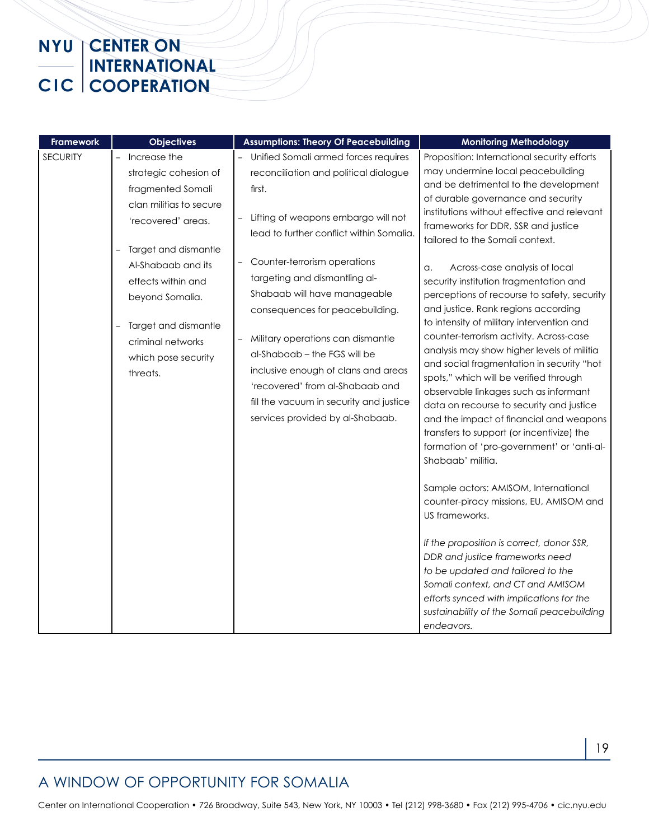| Framework       | <b>Objectives</b>                                                                                                                                                                                                                                                                                       | <b>Assumptions: Theory Of Peacebuilding</b>                                                                                                                                                                                                                                                                                                                                                                                                                                                                                                                                                            | <b>Monitoring Methodology</b>                                                                                                                                                                                                                                                                                                                                                                                                                                                                                                                                                                                                                                                                                                                                                                                                                                                                                                                                                                                                                                                                                                                                                                                                                                                                                       |
|-----------------|---------------------------------------------------------------------------------------------------------------------------------------------------------------------------------------------------------------------------------------------------------------------------------------------------------|--------------------------------------------------------------------------------------------------------------------------------------------------------------------------------------------------------------------------------------------------------------------------------------------------------------------------------------------------------------------------------------------------------------------------------------------------------------------------------------------------------------------------------------------------------------------------------------------------------|---------------------------------------------------------------------------------------------------------------------------------------------------------------------------------------------------------------------------------------------------------------------------------------------------------------------------------------------------------------------------------------------------------------------------------------------------------------------------------------------------------------------------------------------------------------------------------------------------------------------------------------------------------------------------------------------------------------------------------------------------------------------------------------------------------------------------------------------------------------------------------------------------------------------------------------------------------------------------------------------------------------------------------------------------------------------------------------------------------------------------------------------------------------------------------------------------------------------------------------------------------------------------------------------------------------------|
| <b>SECURITY</b> | Increase the<br>strategic cohesion of<br>fragmented Somali<br>clan militias to secure<br>'recovered' areas.<br>Target and dismantle<br>$\qquad \qquad -$<br>Al-Shabaab and its<br>effects within and<br>beyond Somalia.<br>Target and dismantle<br>criminal networks<br>which pose security<br>threats. | - Unified Somali armed forces requires<br>reconciliation and political dialogue<br>first.<br>Lifting of weapons embargo will not<br>lead to further conflict within Somalia.<br>Counter-terrorism operations<br>$\overline{\phantom{0}}$<br>targeting and dismantling al-<br>Shabaab will have manageable<br>consequences for peacebuilding.<br>Military operations can dismantle<br>$\overline{\phantom{0}}$<br>al-Shabaab – the FGS will be<br>inclusive enough of clans and areas<br>'recovered' from al-Shabaab and<br>fill the vacuum in security and justice<br>services provided by al-Shabaab. | Proposition: International security efforts<br>may undermine local peacebuilding<br>and be detrimental to the development<br>of durable governance and security<br>institutions without effective and relevant<br>frameworks for DDR, SSR and justice<br>tailored to the Somali context.<br>Across-case analysis of local<br>a.<br>security institution fragmentation and<br>perceptions of recourse to safety, security<br>and justice. Rank regions according<br>to intensity of military intervention and<br>counter-terrorism activity. Across-case<br>analysis may show higher levels of militia<br>and social fragmentation in security "hot<br>spots," which will be verified through<br>observable linkages such as informant<br>data on recourse to security and justice<br>and the impact of financial and weapons<br>transfers to support (or incentivize) the<br>formation of 'pro-government' or 'anti-al-<br>Shabaab' militia.<br>Sample actors: AMISOM, International<br>counter-piracy missions, EU, AMISOM and<br>US frameworks.<br>If the proposition is correct, donor SSR,<br>DDR and justice frameworks need<br>to be updated and tailored to the<br>Somali context, and CT and AMISOM<br>efforts synced with implications for the<br>sustainability of the Somali peacebuilding<br>endeavors. |

## A WINDOW OF OPPORTUNITY FOR SOMALIA

Center on International Cooperation • 726 Broadway, Suite 543, New York, NY 10003 • Tel (212) 998-3680 • Fax (212) 995-4706 • cic.nyu.edu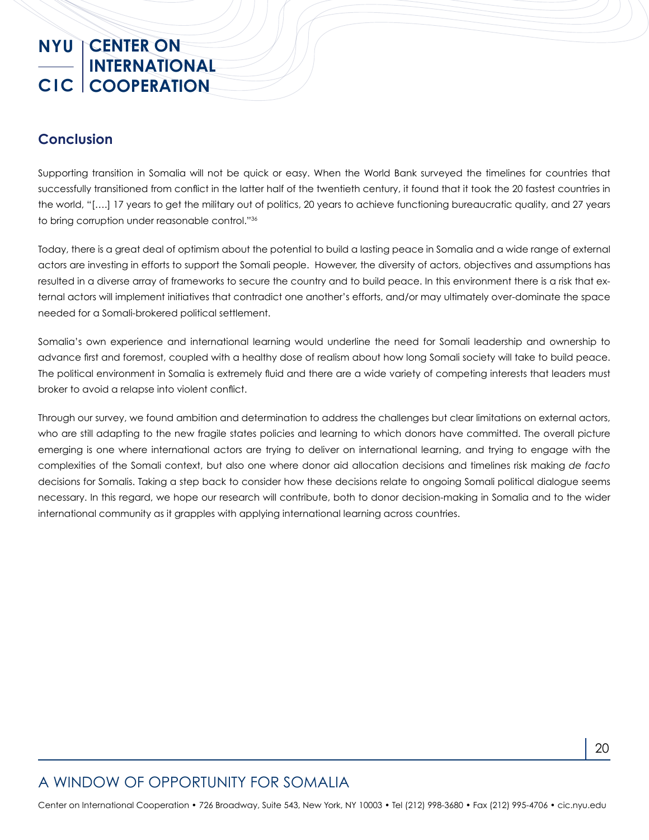#### **Conclusion**

Supporting transition in Somalia will not be quick or easy. When the World Bank surveyed the timelines for countries that successfully transitioned from conflict in the latter half of the twentieth century, it found that it took the 20 fastest countries in the world, "[….] 17 years to get the military out of politics, 20 years to achieve functioning bureaucratic quality, and 27 years to bring corruption under reasonable control."36

Today, there is a great deal of optimism about the potential to build a lasting peace in Somalia and a wide range of external actors are investing in efforts to support the Somali people. However, the diversity of actors, objectives and assumptions has resulted in a diverse array of frameworks to secure the country and to build peace. In this environment there is a risk that external actors will implement initiatives that contradict one another's efforts, and/or may ultimately over-dominate the space needed for a Somali-brokered political settlement.

Somalia's own experience and international learning would underline the need for Somali leadership and ownership to advance first and foremost, coupled with a healthy dose of realism about how long Somali society will take to build peace. The political environment in Somalia is extremely fluid and there are a wide variety of competing interests that leaders must broker to avoid a relapse into violent conflict.

Through our survey, we found ambition and determination to address the challenges but clear limitations on external actors, who are still adapting to the new fragile states policies and learning to which donors have committed. The overall picture emerging is one where international actors are trying to deliver on international learning, and trying to engage with the complexities of the Somali context, but also one where donor aid allocation decisions and timelines risk making *de facto* decisions for Somalis. Taking a step back to consider how these decisions relate to ongoing Somali political dialogue seems necessary. In this regard, we hope our research will contribute, both to donor decision-making in Somalia and to the wider international community as it grapples with applying international learning across countries.

## A WINDOW OF OPPORTUNITY FOR SOMALIA

Center on International Cooperation • 726 Broadway, Suite 543, New York, NY 10003 • Tel (212) 998-3680 • Fax (212) 995-4706 • cic.nyu.edu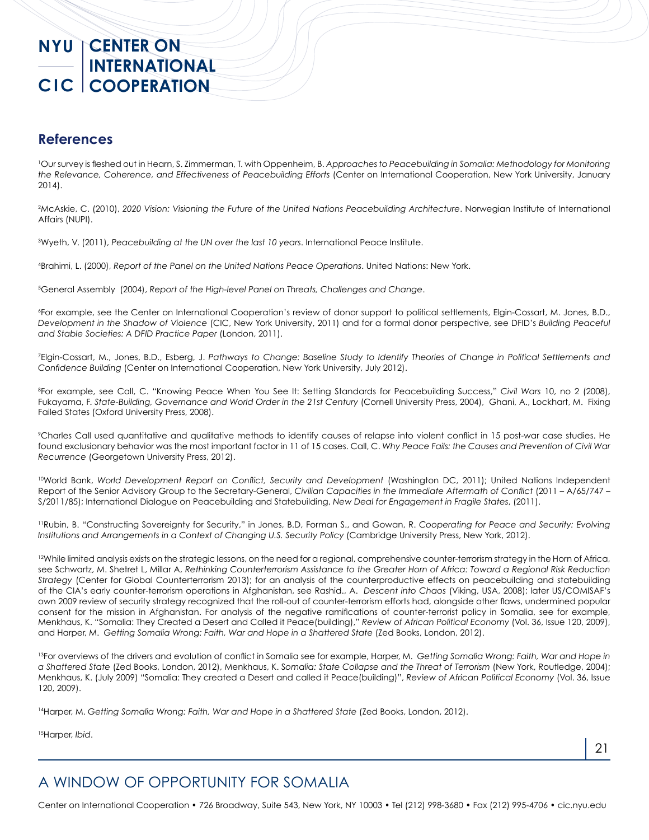#### **References**

1 Our survey is fleshed out in Hearn, S. Zimmerman, T. with Oppenheim, B. *Approaches to Peacebuilding in Somalia: Methodology for Monitoring the Relevance, Coherence, and Effectiveness of Peacebuilding Efforts* (Center on International Cooperation, New York University, January 2014).

2 McAskie, C. (2010), *2020 Vision: Visioning the Future of the United Nations Peacebuilding Architecture*. Norwegian Institute of International Affairs (NUPI).

3 Wyeth, V. (2011), *Peacebuilding at the UN over the last 10 years*. International Peace Institute.

4 Brahimi, L. (2000), *Report of the Panel on the United Nations Peace Operations*. United Nations: New York.

5 General Assembly (2004), *Report of the High-level Panel on Threats, Challenges and Change*.

6 For example, see the Center on International Cooperation's review of donor support to political settlements, Elgin-Cossart, M. Jones, B.D., *Development in the Shadow of Violence* (CIC, New York University, 2011) and for a formal donor perspective, see DFID's *Building Peaceful and Stable Societies: A DFID Practice Paper* (London, 2011).

7 Elgin-Cossart, M., Jones, B.D., Esberg, J. *Pathways to Change: Baseline Study to Identify Theories of Change in Political Settlements and Confidence Building* (Center on International Cooperation, New York University, July 2012).

8 For example, see Call, C. "Knowing Peace When You See It: Setting Standards for Peacebuilding Success," *Civil Wars* 10, no 2 (2008), Fukayama, F. *State-Building, Governance and World Order in the 21st Century* (Cornell University Press, 2004), Ghani, A., Lockhart, M. Fixing Failed States (Oxford University Press, 2008).

9 Charles Call used quantitative and qualitative methods to identify causes of relapse into violent conflict in 15 post-war case studies. He found exclusionary behavior was the most important factor in 11 of 15 cases. Call, C. *Why Peace Fails: the Causes and Prevention of Civil War Recurrence* (Georgetown University Press, 2012).

10World Bank, *World Development Report on Conflict, Security and Development* (Washington DC, 2011); United Nations Independent Report of the Senior Advisory Group to the Secretary-General, *Civilian Capacities in the Immediate Aftermath of Conflict* (2011 – A/65/747 – S/2011/85); International Dialogue on Peacebuilding and Statebuilding, *New Deal for Engagement in Fragile States*, (2011).

11Rubin, B. "Constructing Sovereignty for Security," in Jones, B.D, Forman S., and Gowan, R. *Cooperating for Peace and Security: Evolving Institutions and Arrangements in a Context of Changing U.S. Security Policy* (Cambridge University Press, New York, 2012).

<sup>12</sup>While limited analysis exists on the strategic lessons, on the need for a regional, comprehensive counter-terrorism strategy in the Horn of Africa, see Schwartz, M. Shetret L, Millar A, *Rethinking Counterterrorism Assistance to the Greater Horn of Africa: Toward a Regional Risk Reduction Strategy* (Center for Global Counterterrorism 2013); for an analysis of the counterproductive effects on peacebuilding and statebuilding of the CIA's early counter-terrorism operations in Afghanistan, see Rashid., A. *Descent into Chaos* (Viking, USA, 2008); later US/COMISAF's own 2009 review of security strategy recognized that the roll-out of counter-terrorism efforts had, alongside other flaws, undermined popular consent for the mission in Afghanistan. For analysis of the negative ramifications of counter-terrorist policy in Somalia, see for example, Menkhaus, K. "Somalia: They Created a Desert and Called it Peace(building)," *Review of African Political Economy* (Vol. 36, Issue 120, 2009), and Harper, M. *Getting Somalia Wrong: Faith, War and Hope in a Shattered State* (Zed Books, London, 2012).

<sup>13</sup>For overviews of the drivers and evolution of conflict in Somalia see for example, Harper, M. Getting Somalia Wrong: Faith, War and Hope in *a Shattered State* (Zed Books, London, 2012), Menkhaus, K. S*omalia: State Collapse and the Threat of Terrorism* (New York, Routledge, 2004); Menkhaus, K. (July 2009) "Somalia: They created a Desert and called it Peace(building)", *Review of African Political Economy* (Vol. 36, Issue 120, 2009).

14Harper, M. *Getting Somalia Wrong: Faith, War and Hope in a Shattered State* (Zed Books, London, 2012).

15Harper, *Ibid*.

## A WINDOW OF OPPORTUNITY FOR SOMALIA

Center on International Cooperation • 726 Broadway, Suite 543, New York, NY 10003 • Tel (212) 998-3680 • Fax (212) 995-4706 • cic.nyu.edu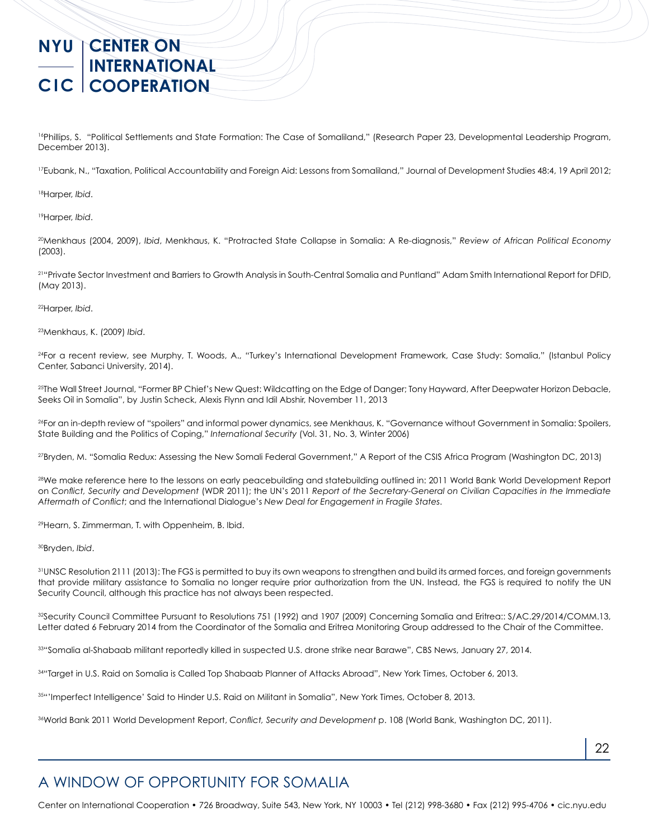<sup>16</sup>Phillips, S. "Political Settlements and State Formation: The Case of Somaliland," (Research Paper 23, Developmental Leadership Program, December 2013).

<sup>17</sup>Eubank, N., "Taxation, Political Accountability and Foreign Aid: Lessons from Somaliland," Journal of Development Studies 48:4, 19 April 2012;

18Harper, *Ibid*.

19Harper, *Ibid*.

20Menkhaus (2004, 2009), *Ibid*, Menkhaus, K. "Protracted State Collapse in Somalia: A Re-diagnosis," *Review of African Political Economy* (2003).

21"Private Sector Investment and Barriers to Growth Analysis in South-Central Somalia and Puntland" Adam Smith International Report for DFID, (May 2013).

22Harper, *Ibid*.

23Menkhaus, K. (2009) *Ibid*.

24For a recent review, see Murphy, T. Woods, A., "Turkey's International Development Framework, Case Study: Somalia," (Istanbul Policy Center, Sabanci University, 2014).

25The Wall Street Journal, ["Former BP Chief's New Quest: Wildcatting on the Edge of Danger; Tony Hayward, After Deepwater Horizon Debacle,](http://online.wsj.com/news/articles/SB10001424052702303615304579157593033516258)  [Seeks Oil in Somalia"](http://online.wsj.com/news/articles/SB10001424052702303615304579157593033516258), by Justin Scheck, Alexis Flynn and Idil Abshir, November 11, 2013

<sup>26</sup>For an in-depth review of "spoilers" and informal power dynamics, see Menkhaus, K. "Governance without Government in Somalia: Spoilers, State Building and the Politics of Coping," *International Security* (Vol. 31, No. 3, Winter 2006)

27Bryden, M. "Somalia Redux: Assessing the New Somali Federal Government," A Report of the CSIS Africa Program (Washington DC, 2013)

28We make reference here to the lessons on early peacebuilding and statebuilding outlined in: 2011 World Bank World Development Report on *Conflict, Security and Development* (WDR 2011); the UN's 2011 *Report of the Secretary-General on Civilian Capacities in the Immediate Aftermath of Conflict*; and the International Dialogue's *New Deal for Engagement in Fragile States*.

29Hearn, S. Zimmerman, T. with Oppenheim, B. Ibid.

30Bryden, *Ibid*.

31 UNSC Resolution 2111 (2013): The FGS is permitted to buy its own weapons to strengthen and build its armed forces, and foreign governments that provide military assistance to Somalia no longer require prior authorization from the UN. Instead, the FGS is required to notify the UN Security Council, although this practice has not always been respected.

32Security Council Committee Pursuant to Resolutions 751 (1992) and 1907 (2009) Concerning Somalia and Eritrea:: S/AC.29/2014/COMM.13, Letter dated 6 February 2014 from the Coordinator of the Somalia and Eritrea Monitoring Group addressed to the Chair of the Committee.

33"Somalia al-Shabaab militant reportedly killed in suspected U.S. drone strike near Barawe", CBS News, January 27, 2014.

34"Target in U.S. Raid on Somalia is Called Top Shabaab Planner of Attacks Abroad", New York Times, October 6, 2013.

35"'Imperfect Intelligence' Said to Hinder U.S. Raid on Militant in Somalia", New York Times, October 8, 2013.

36World Bank 2011 World Development Report, *Conflict, Security and Development* p. 108 (World Bank, Washington DC, 2011).

## A WINDOW OF OPPORTUNITY FOR SOMALIA

Center on International Cooperation • 726 Broadway, Suite 543, New York, NY 10003 • Tel (212) 998-3680 • Fax (212) 995-4706 • cic.nyu.edu